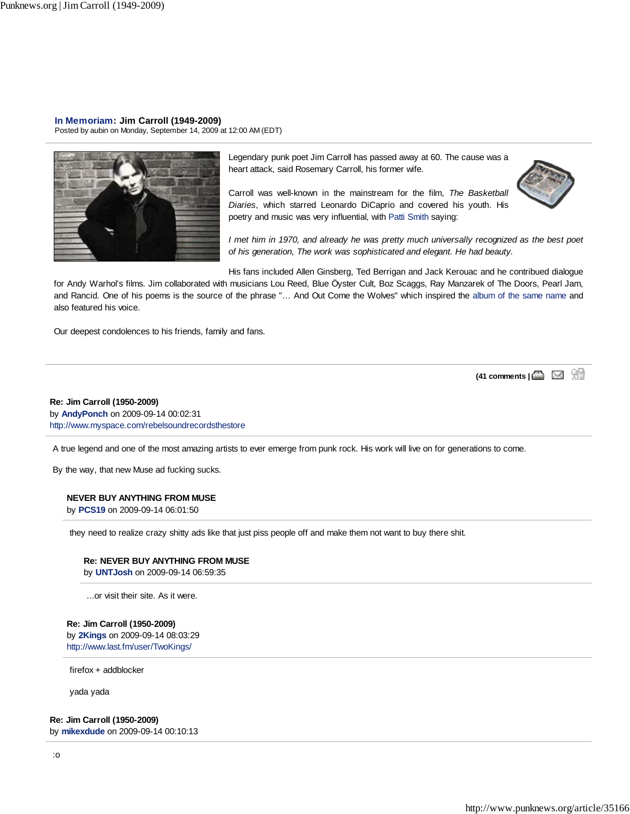**In Memoriam: Jim Carroll (1949-2009)**

Posted by aubin on Monday, September 14, 2009 at 12:00 AM (EDT)



Legendary punk poet Jim Carroll has passed away at 60. The cause was a heart attack, said Rosemary Carroll, his former wife.

Carroll was well-known in the mainstream for the film, *The Basketball Diaries*, which starred Leonardo DiCaprio and covered his youth. His poetry and music was very influential, with Patti Smith saying:



*I met him in 1970, and already he was pretty much universally recognized as the best poet of his generation, The work was sophisticated and elegant. He had beauty.*

His fans included Allen Ginsberg, Ted Berrigan and Jack Kerouac and he contribued dialogue

for Andy Warhol's films. Jim collaborated with musicians Lou Reed, Blue Öyster Cult, Boz Scaggs, Ray Manzarek of The Doors, Pearl Jam, and Rancid. One of his poems is the source of the phrase "… And Out Come the Wolves" which inspired the album of the same name and also featured his voice.

Our deepest condolences to his friends, family and fans.

(41 comments | **△** ⊠ 9

# **Re: Jim Carroll (1950-2009)** by **AndyPonch** on 2009-09-14 00:02:31 http://www.myspace.com/rebelsoundrecordsthestore

A true legend and one of the most amazing artists to ever emerge from punk rock. His work will live on for generations to come.

By the way, that new Muse ad fucking sucks.

# **NEVER BUY ANYTHING FROM MUSE**

by **PCS19** on 2009-09-14 06:01:50

they need to realize crazy shitty ads like that just piss people off and make them not want to buy there shit.

#### **Re: NEVER BUY ANYTHING FROM MUSE**

by **UNTJosh** on 2009-09-14 06:59:35

...or visit their site. As it were.

#### **Re: Jim Carroll (1950-2009)**

by **2Kings** on 2009-09-14 08:03:29 http://www.last.fm/user/TwoKings/

firefox + addblocker

yada yada

# **Re: Jim Carroll (1950-2009)**

by **mikexdude** on 2009-09-14 00:10:13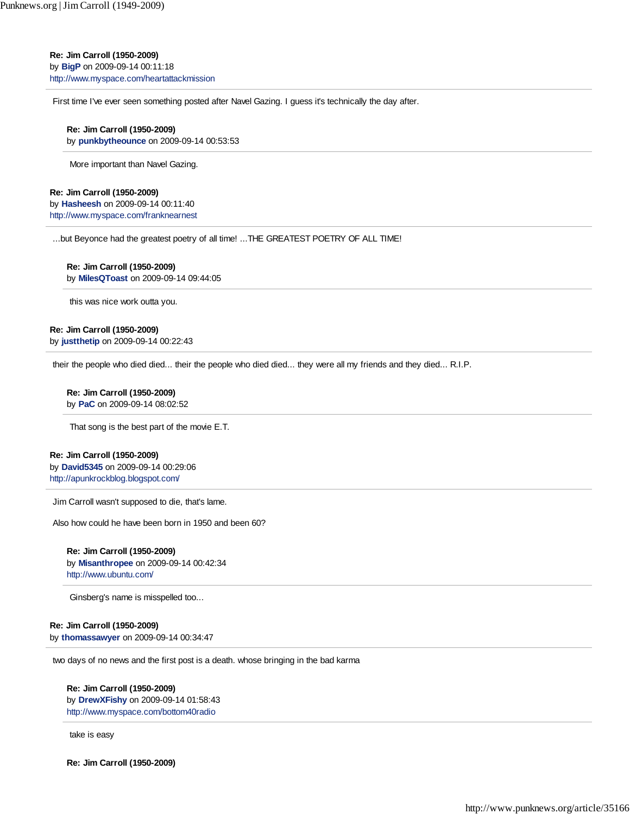**Re: Jim Carroll (1950-2009)**

by **BigP** on 2009-09-14 00:11:18 http://www.myspace.com/heartattackmission

First time I've ever seen something posted after Navel Gazing. I guess it's technically the day after.

# **Re: Jim Carroll (1950-2009)**

by **punkbytheounce** on 2009-09-14 00:53:53

More important than Navel Gazing.

## **Re: Jim Carroll (1950-2009)**

by **Hasheesh** on 2009-09-14 00:11:40 http://www.myspace.com/franknearnest

...but Beyonce had the greatest poetry of all time! ...THE GREATEST POETRY OF ALL TIME!

# **Re: Jim Carroll (1950-2009)**

by **MilesQToast** on 2009-09-14 09:44:05

this was nice work outta you.

# **Re: Jim Carroll (1950-2009)**

by **justthetip** on 2009-09-14 00:22:43

their the people who died died... their the people who died died... they were all my friends and they died... R.I.P.

# **Re: Jim Carroll (1950-2009)**

by **PaC** on 2009-09-14 08:02:52

That song is the best part of the movie E.T.

#### **Re: Jim Carroll (1950-2009)**

by **David5345** on 2009-09-14 00:29:06 http://apunkrockblog.blogspot.com/

Jim Carroll wasn't supposed to die, that's lame.

Also how could he have been born in 1950 and been 60?

#### **Re: Jim Carroll (1950-2009)** by **Misanthropee** on 2009-09-14 00:42:34

http://www.ubuntu.com/

Ginsberg's name is misspelled too...

# **Re: Jim Carroll (1950-2009)**

by **thomassawyer** on 2009-09-14 00:34:47

two days of no news and the first post is a death. whose bringing in the bad karma

# **Re: Jim Carroll (1950-2009)**

by **DrewXFishy** on 2009-09-14 01:58:43 http://www.myspace.com/bottom40radio

take is easy

**Re: Jim Carroll (1950-2009)**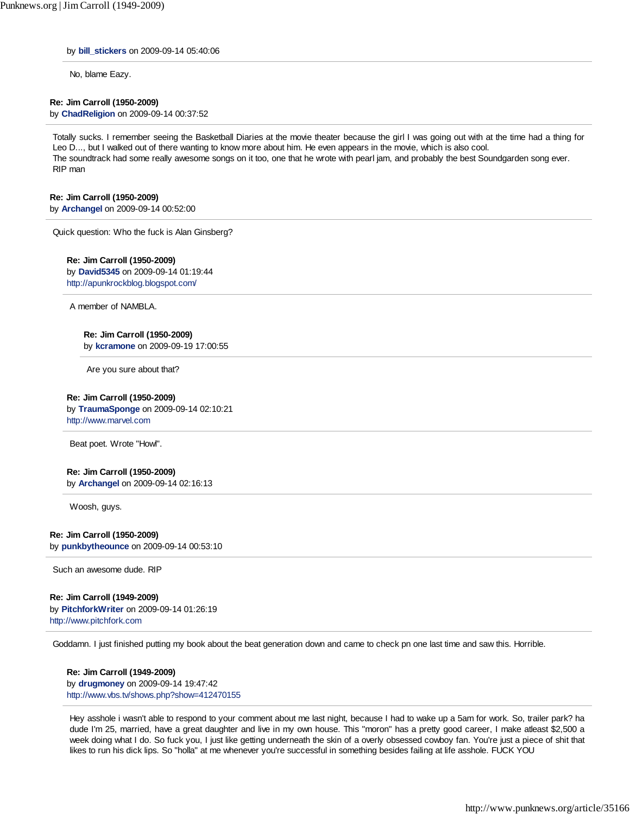by **bill\_stickers** on 2009-09-14 05:40:06

No, blame Eazy.

## **Re: Jim Carroll (1950-2009)**

by **ChadReligion** on 2009-09-14 00:37:52

Totally sucks. I remember seeing the Basketball Diaries at the movie theater because the girl I was going out with at the time had a thing for Leo D..., but I walked out of there wanting to know more about him. He even appears in the movie, which is also cool. The soundtrack had some really awesome songs on it too, one that he wrote with pearl jam, and probably the best Soundgarden song ever. RIP man

#### **Re: Jim Carroll (1950-2009)**

by **Archangel** on 2009-09-14 00:52:00

Quick question: Who the fuck is Alan Ginsberg?

## **Re: Jim Carroll (1950-2009)**

by **David5345** on 2009-09-14 01:19:44 http://apunkrockblog.blogspot.com/

A member of NAMBLA.

#### **Re: Jim Carroll (1950-2009)**

by **kcramone** on 2009-09-19 17:00:55

Are you sure about that?

#### **Re: Jim Carroll (1950-2009)**

by **TraumaSponge** on 2009-09-14 02:10:21 http://www.marvel.com

Beat poet. Wrote "Howl".

#### **Re: Jim Carroll (1950-2009)**

by **Archangel** on 2009-09-14 02:16:13

Woosh, guys.

**Re: Jim Carroll (1950-2009)** by **punkbytheounce** on 2009-09-14 00:53:10

Such an awesome dude. RIP

#### **Re: Jim Carroll (1949-2009)**

by **PitchforkWriter** on 2009-09-14 01:26:19 http://www.pitchfork.com

Goddamn. I just finished putting my book about the beat generation down and came to check pn one last time and saw this. Horrible.

**Re: Jim Carroll (1949-2009)** by **drugmoney** on 2009-09-14 19:47:42 http://www.vbs.tv/shows.php?show=412470155

Hey asshole i wasn't able to respond to your comment about me last night, because I had to wake up a 5am for work. So, trailer park? ha dude I'm 25, married, have a great daughter and live in my own house. This "moron" has a pretty good career, I make atleast \$2,500 a week doing what I do. So fuck you, I just like getting underneath the skin of a overly obsessed cowboy fan. You're just a piece of shit that likes to run his dick lips. So "holla" at me whenever you're successful in something besides failing at life asshole. FUCK YOU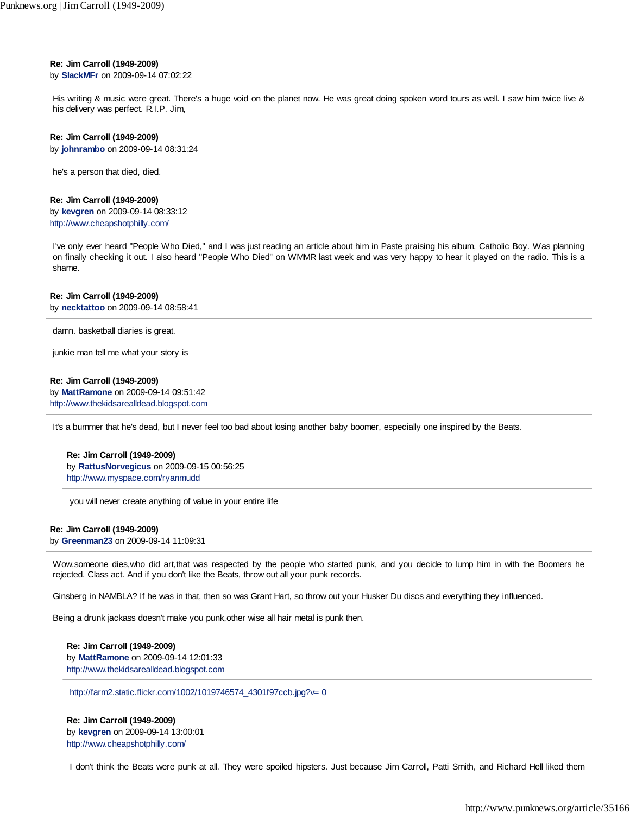#### **Re: Jim Carroll (1949-2009)** by **SlackMFr** on 2009-09-14 07:02:22

His writing & music were great. There's a huge void on the planet now. He was great doing spoken word tours as well. I saw him twice live & his delivery was perfect. R.I.P. Jim,

#### **Re: Jim Carroll (1949-2009)**

by **johnrambo** on 2009-09-14 08:31:24

he's a person that died, died.

#### **Re: Jim Carroll (1949-2009)**

by **kevgren** on 2009-09-14 08:33:12 http://www.cheapshotphilly.com/

I've only ever heard "People Who Died," and I was just reading an article about him in Paste praising his album, Catholic Boy. Was planning on finally checking it out. I also heard "People Who Died" on WMMR last week and was very happy to hear it played on the radio. This is a shame.

#### **Re: Jim Carroll (1949-2009)**

by **necktattoo** on 2009-09-14 08:58:41

damn. basketball diaries is great.

junkie man tell me what your story is

#### **Re: Jim Carroll (1949-2009)**

by **MattRamone** on 2009-09-14 09:51:42 http://www.thekidsarealldead.blogspot.com

It's a bummer that he's dead, but I never feel too bad about losing another baby boomer, especially one inspired by the Beats.

# **Re: Jim Carroll (1949-2009)**

by **RattusNorvegicus** on 2009-09-15 00:56:25 http://www.myspace.com/ryanmudd

you will never create anything of value in your entire life

#### **Re: Jim Carroll (1949-2009)**

by **Greenman23** on 2009-09-14 11:09:31

Wow,someone dies,who did art,that was respected by the people who started punk, and you decide to lump him in with the Boomers he rejected. Class act. And if you don't like the Beats, throw out all your punk records.

Ginsberg in NAMBLA? If he was in that, then so was Grant Hart, so throw out your Husker Du discs and everything they influenced.

Being a drunk jackass doesn't make you punk,other wise all hair metal is punk then.

**Re: Jim Carroll (1949-2009)** by **MattRamone** on 2009-09-14 12:01:33 http://www.thekidsarealldead.blogspot.com

http://farm2.static.flickr.com/1002/1019746574\_4301f97ccb.jpg?v= 0

**Re: Jim Carroll (1949-2009)** by **kevgren** on 2009-09-14 13:00:01 http://www.cheapshotphilly.com/

I don't think the Beats were punk at all. They were spoiled hipsters. Just because Jim Carroll, Patti Smith, and Richard Hell liked them